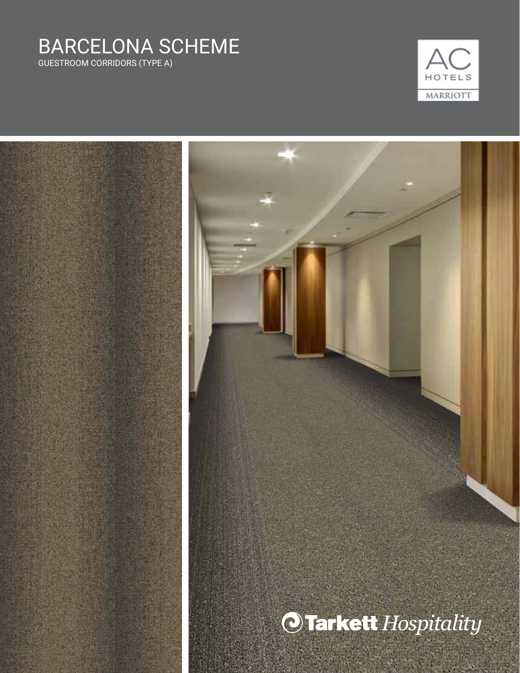### BARCELONA SCHEME GUESTROOM CORRIDORS (TYPE A)

HOTELS MARRIOTT

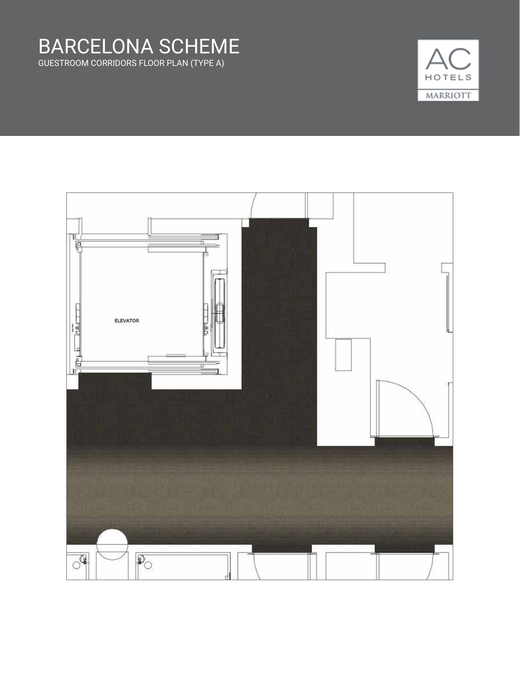



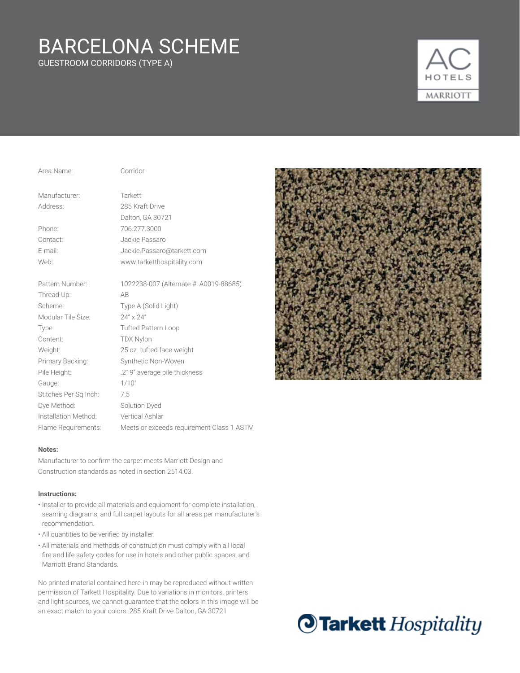GUESTROOM CORRIDORS (TYPE A)



| Area Name:            | Corridor                                |
|-----------------------|-----------------------------------------|
| Manufacturer:         | Tarkett                                 |
| Address:              | 285 Kraft Drive                         |
|                       | Dalton, GA 30721                        |
| Phone:                | 706.277.3000                            |
| Contact:              | Jackie Passaro                          |
| E-mail:               | Jackie.Passaro@tarkett.com              |
| Web:                  | www.tarketthospitality.com              |
| Pattern Number:       | 1022238-007 (Alternate #: A0019-88685)  |
| Thread-Up:            | AB                                      |
| Scheme:               | Type A (Solid Light)                    |
| Modular Tile Size:    | $24'' \times 24''$                      |
| Type:                 | <b>Tufted Pattern Loop</b>              |
| Content:              | <b>TDX Nylon</b>                        |
| Weight:               | 25 oz. tufted face weight               |
| Primary Backing:      | Synthetic Non-Woven                     |
| Pile Height:          | .219" average pile thickness            |
| Gauge:                | 1/10"                                   |
| Stitches Per Sq Inch: | 7.5                                     |
| Dye Method:           | <b>Solution Dyed</b>                    |
| Installation Method:  | <b>Vertical Ashlar</b>                  |
| Flame Requirements:   | Meets or exceeds requirement Class 1 AS |

### **Notes:**

Manufacturer to confirm the carpet meets Marriott Design and Construction standards as noted in section 2514.03.

### **Instructions:**

• Installer to provide all materials and equipment for complete installation, seaming diagrams, and full carpet layouts for all areas per manufacturer's recommendation.

ASTM

- All quantities to be verified by installer.
- All materials and methods of construction must comply with all local fire and life safety codes for use in hotels and other public spaces, and Marriott Brand Standards.



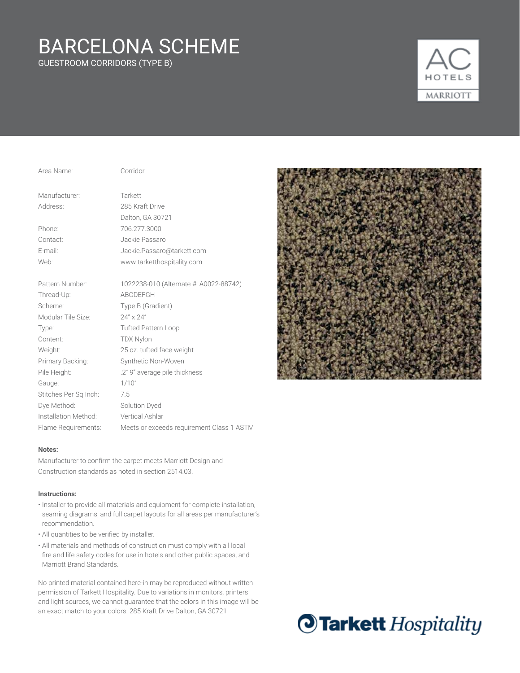GUESTROOM CORRIDORS (TYPE B)



| Area Name:            | Corridor                                |
|-----------------------|-----------------------------------------|
| Manufacturer:         | Tarkett                                 |
| Address:              | 285 Kraft Drive                         |
|                       | Dalton, GA 30721                        |
| Phone:                | 706.277.3000                            |
| Contact:              | Jackie Passaro                          |
| E-mail:               | Jackie.Passaro@tarkett.com              |
| Web:                  | www.tarketthospitality.com              |
| Pattern Number:       | 1022238-010 (Alternate #: A0022-88742)  |
| Thread-Up:            | ABCDEFGH                                |
| Scheme:               | Type B (Gradient)                       |
| Modular Tile Size:    | $24'' \times 24''$                      |
| Type:                 | <b>Tufted Pattern Loop</b>              |
| Content:              | <b>TDX Nylon</b>                        |
| Weight:               | 25 oz. tufted face weight               |
| Primary Backing:      | Synthetic Non-Woven                     |
| Pile Height:          | .219" average pile thickness            |
| Gauge:                | 1/10"                                   |
| Stitches Per Sq Inch: | 7.5                                     |
| Dye Method:           | Solution Dyed                           |
| Installation Method:  | Vertical Ashlar                         |
| Flame Requirements:   | Meets or exceeds requirement Class 1 As |

### **Notes:**

Manufacturer to confirm the carpet meets Marriott Design and Construction standards as noted in section 2514.03.

### **Instructions:**

• Installer to provide all materials and equipment for complete installation, seaming diagrams, and full carpet layouts for all areas per manufacturer's recommendation.

ASTM

- All quantities to be verified by installer.
- All materials and methods of construction must comply with all local fire and life safety codes for use in hotels and other public spaces, and Marriott Brand Standards.



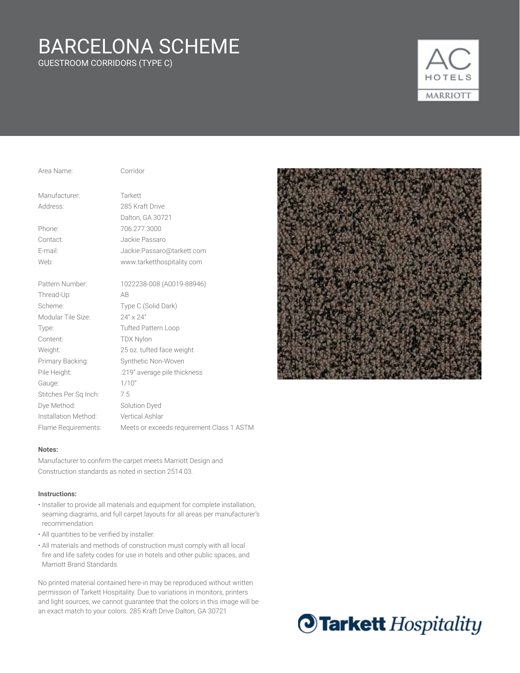GUESTROOM CORRIDORS (TYPE C)



| Area Name:            | Corridor                             |
|-----------------------|--------------------------------------|
| Manufacturer:         | Tarkett                              |
| Address:              | 285 Kraft Drive                      |
|                       | Dalton, GA 30721                     |
| Phone:                | 706.277.3000                         |
| Contact:              | Jackie Passaro                       |
| E-mail:               | Jackie.Passaro@tarkett.com           |
| Web:                  | www.tarketthospitality.com           |
| Pattern Number:       | 1022238-008 (A0019-88946)            |
| Thread-Up:            | AB                                   |
| Scheme:               | Type C (Solid Dark)                  |
| Modular Tile Size:    | $24'' \times 24''$                   |
| Type:                 | <b>Tufted Pattern Loop</b>           |
| Content:              | <b>TDX Nylon</b>                     |
| Weight:               | 25 oz. tufted face weight            |
| Primary Backing:      | Synthetic Non-Woven                  |
| Pile Height:          | .219" average pile thickness         |
| Gauge:                | 1/10"                                |
| Stitches Per Sq Inch: | 7.5                                  |
| Dye Method:           | Solution Dyed                        |
| Installation Method:  | <b>Vertical Ashlar</b>               |
| Flame Requirements:   | Meets or exceeds requirement Class 1 |

### **Notes:**

Manufacturer to confirm the carpet meets Marriott Design and Construction standards as noted in section 2514.03.

#### **Instructions:**

• Installer to provide all materials and equipment for complete installation, seaming diagrams, and full carpet layouts for all areas per manufacturer's recommendation.

ASTM

- All quantities to be verified by installer.
- All materials and methods of construction must comply with all local fire and life safety codes for use in hotels and other public spaces, and Marriott Brand Standards.



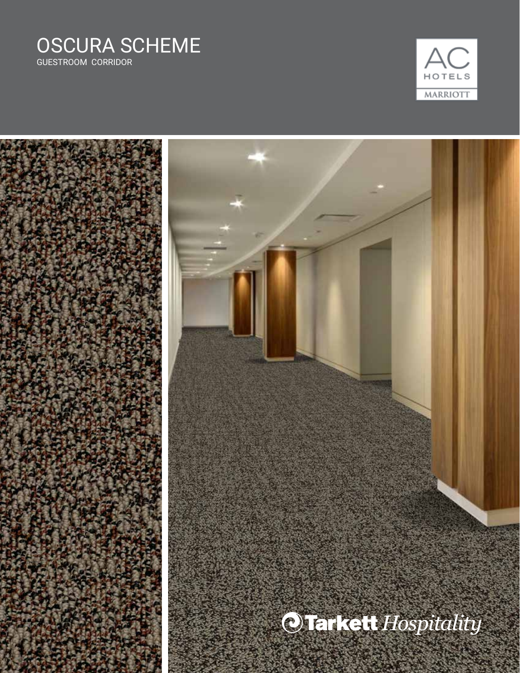### OSCURA SCHEME GUESTROOM CORRIDOR



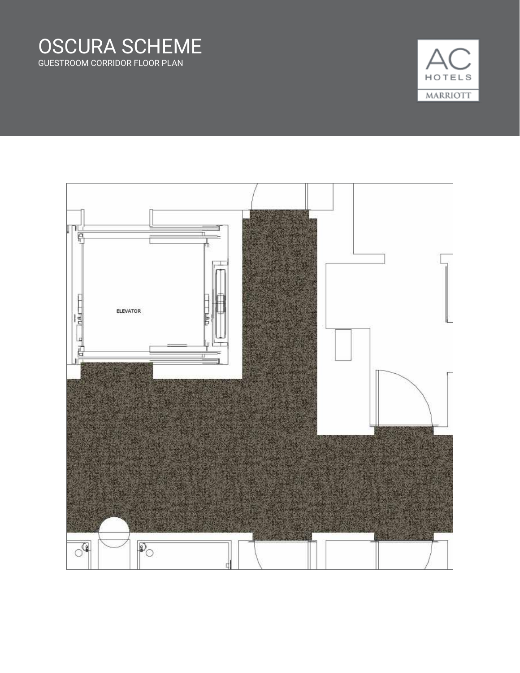